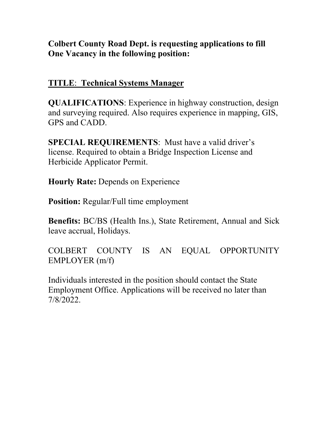# **Colbert County Road Dept. is requesting applications to fill One Vacancy in the following position:**

# **TITLE**: **Technical Systems Manager**

**QUALIFICATIONS**: Experience in highway construction, design and surveying required. Also requires experience in mapping, GIS, GPS and CADD.

**SPECIAL REQUIREMENTS**: Must have a valid driver's license. Required to obtain a Bridge Inspection License and Herbicide Applicator Permit.

**Hourly Rate:** Depends on Experience

**Position:** Regular/Full time employment

**Benefits:** BC/BS (Health Ins.), State Retirement, Annual and Sick leave accrual, Holidays.

COLBERT COUNTY IS AN EQUAL OPPORTUNITY EMPLOYER (m/f)

Individuals interested in the position should contact the State Employment Office. Applications will be received no later than 7/8/2022.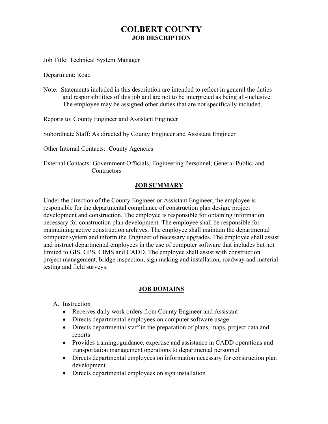## **COLBERT COUNTY JOB DESCRIPTION**

Job Title: Technical System Manager

Department: Road

Note: Statements included in this description are intended to reflect in general the duties and responsibilities of this job and are not to be interpreted as being all-inclusive. The employee may be assigned other duties that are not specifically included.

Reports to: County Engineer and Assistant Engineer

Subordinate Staff: As directed by County Engineer and Assistant Engineer

Other Internal Contacts: County Agencies

 External Contacts: Government Officials, Engineering Personnel, General Public, and **Contractors** 

#### **JOB SUMMARY**

Under the direction of the County Engineer or Assistant Engineer, the employee is responsible for the departmental compliance of construction plan design, project development and construction. The employee is responsible for obtaining information necessary for construction plan development. The employee shall be responsible for maintaining active construction archives. The employee shall maintain the departmental computer system and inform the Engineer of necessary upgrades. The employee shall assist and instruct departmental employees in the use of computer software that includes but not limited to GIS, GPS, CIMS and CADD. The employee shall assist with construction project management, bridge inspection, sign making and installation, roadway and material testing and field surveys.

#### **JOB DOMAINS**

A. Instruction

- Receives daily work orders from County Engineer and Assistant
- Directs departmental employees on computer software usage
- Directs departmental staff in the preparation of plans, maps, project data and reports
- Provides training, guidance, expertise and assistance in CADD operations and transportation management operations to departmental personnel
- Directs departmental employees on information necessary for construction plan development
- Directs departmental employees on sign installation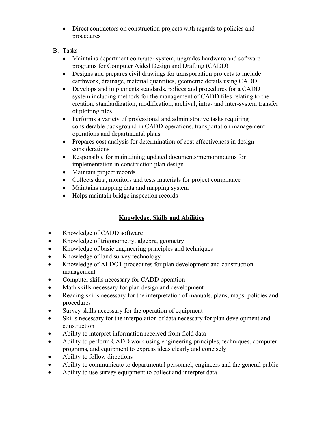- Direct contractors on construction projects with regards to policies and procedures
- B. Tasks
	- Maintains department computer system, upgrades hardware and software programs for Computer Aided Design and Drafting (CADD)
	- Designs and prepares civil drawings for transportation projects to include earthwork, drainage, material quantities, geometric details using CADD
	- Develops and implements standards, polices and procedures for a CADD system including methods for the management of CADD files relating to the creation, standardization, modification, archival, intra- and inter-system transfer of plotting files
	- Performs a variety of professional and administrative tasks requiring considerable background in CADD operations, transportation management operations and departmental plans.
	- Prepares cost analysis for determination of cost effectiveness in design considerations
	- Responsible for maintaining updated documents/memorandums for implementation in construction plan design
	- Maintain project records
	- Collects data, monitors and tests materials for project compliance
	- Maintains mapping data and mapping system
	- Helps maintain bridge inspection records

## **Knowledge, Skills and Abilities**

- Knowledge of CADD software
- Knowledge of trigonometry, algebra, geometry
- Knowledge of basic engineering principles and techniques
- Knowledge of land survey technology
- Knowledge of ALDOT procedures for plan development and construction management
- Computer skills necessary for CADD operation
- Math skills necessary for plan design and development
- Reading skills necessary for the interpretation of manuals, plans, maps, policies and procedures
- Survey skills necessary for the operation of equipment
- Skills necessary for the interpolation of data necessary for plan development and construction
- Ability to interpret information received from field data
- Ability to perform CADD work using engineering principles, techniques, computer programs, and equipment to express ideas clearly and concisely
- Ability to follow directions
- Ability to communicate to departmental personnel, engineers and the general public
- Ability to use survey equipment to collect and interpret data